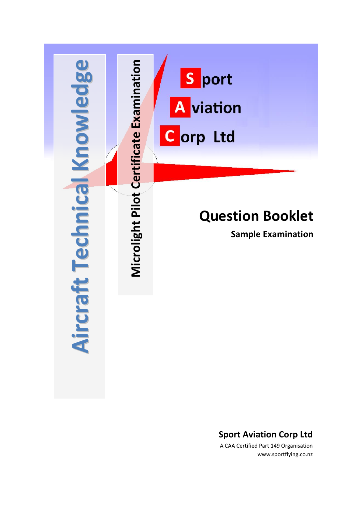

### **Sport Aviation Corp Ltd**

A CAA Certified Part 149 Organisation www.sportflying.co.nz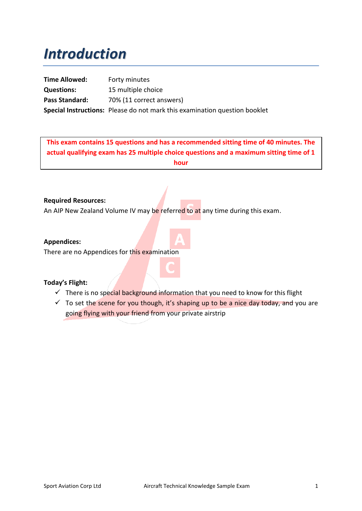# *Introduction*

**Time Allowed:** Forty minutes **Questions:** 15 multiple choice Pass Standard: 70% (11 correct answers) **Special Instructions:** Please do not mark this examination question booklet

**This exam contains 15 questions and has a recommended sitting time of 40 minutes. The actual qualifying exam has 25 multiple choice questions and a maximum sitting time of 1 hour**

#### **Required Resources:**

An AIP New Zealand Volume IV may be referred to at any time during this exam.

#### **Appendices:**

There are no Appendices for this examination

#### **Today's Flight:**

- $\checkmark$  There is no special background information that you need to know for this flight
- $\checkmark$  To set the scene for you though, it's shaping up to be a nice day today, and you are going flying with your friend from your private airstrip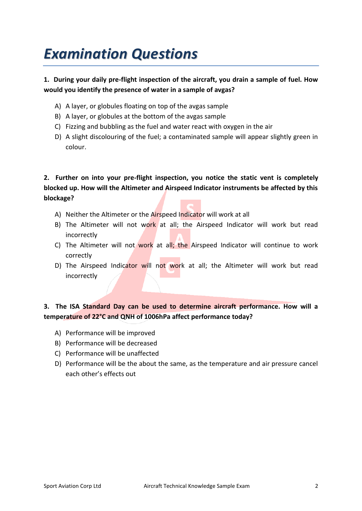# *Examination Questions*

#### **1. During your daily pre-flight inspection of the aircraft, you drain a sample of fuel. How would you identify the presence of water in a sample of avgas?**

- A) A layer, or globules floating on top of the avgas sample
- B) A layer, or globules at the bottom of the avgas sample
- C) Fizzing and bubbling as the fuel and water react with oxygen in the air
- D) A slight discolouring of the fuel; a contaminated sample will appear slightly green in colour.

**2. Further on into your pre-flight inspection, you notice the static vent is completely blocked up. How will the Altimeter and Airspeed Indicator instruments be affected by this blockage?**

- A) Neither the Altimeter or the Airspeed Indicator will work at all
- B) The Altimeter will not work at all; the Airspeed Indicator will work but read incorrectly
- C) The Altimeter will not work at all; the Airspeed Indicator will continue to work correctly
- D) The Airspeed Indicator will not work at all; the Altimeter will work but read incorrectly

**3. The ISA Standard Day can be used to determine aircraft performance. How will a temperature of 22°C and QNH of 1006hPa affect performance today?**

- A) Performance will be improved
- B) Performance will be decreased
- C) Performance will be unaffected
- D) Performance will be the about the same, as the temperature and air pressure cancel each other's effects out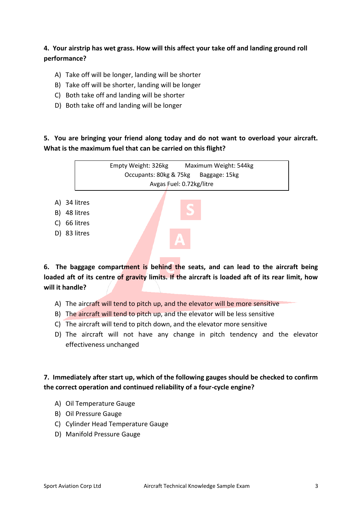### **4. Your airstrip has wet grass. How will this affect your take off and landing ground roll performance?**

- A) Take off will be longer, landing will be shorter
- B) Take off will be shorter, landing will be longer
- C) Both take off and landing will be shorter
- D) Both take off and landing will be longer

#### **5. You are bringing your friend along today and do not want to overload your aircraft. What is the maximum fuel that can be carried on this flight?**



**6. The baggage compartment is behind the seats, and can lead to the aircraft being loaded aft of its centre of gravity limits. If the aircraft is loaded aft of its rear limit, how will it handle?**

- A) The aircraft will tend to pitch up, and the elevator will be more sensitive
- B) The aircraft will tend to pitch up, and the elevator will be less sensitive
- C) The aircraft will tend to pitch down, and the elevator more sensitive
- D) The aircraft will not have any change in pitch tendency and the elevator effectiveness unchanged

#### **7. Immediately after start up, which of the following gauges should be checked to confirm the correct operation and continued reliability of a four-cycle engine?**

- A) Oil Temperature Gauge
- B) Oil Pressure Gauge
- C) Cylinder Head Temperature Gauge
- D) Manifold Pressure Gauge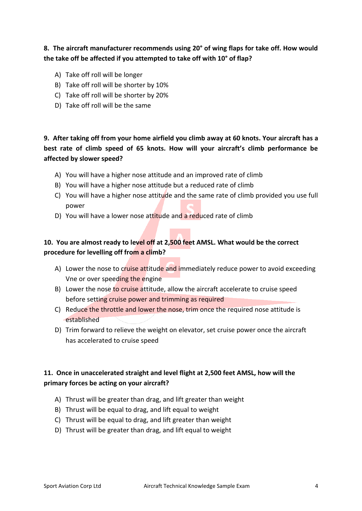### **8. The aircraft manufacturer recommends using 20° of wing flaps for take off. How would the take off be affected if you attempted to take off with 10° of flap?**

- A) Take off roll will be longer
- B) Take off roll will be shorter by 10%
- C) Take off roll will be shorter by 20%
- D) Take off roll will be the same

### **9. After taking off from your home airfield you climb away at 60 knots. Your aircraft has a best rate of climb speed of 65 knots. How will your aircraft's climb performance be affected by slower speed?**

- A) You will have a higher nose attitude and an improved rate of climb
- B) You will have a higher nose attitude but a reduced rate of climb
- C) You will have a higher nose attitude and the same rate of climb provided you use full power
- D) You will have a lower nose attitude and a reduced rate of climb

### **10. You are almost ready to level off at 2,500 feet AMSL. What would be the correct procedure for levelling off from a climb?**

- A) Lower the nose to cruise attitude and immediately reduce power to avoid exceeding Vne or over speeding the engine
- B) Lower the nose to cruise attitude, allow the aircraft accelerate to cruise speed before setting cruise power and trimming as required
- C) Reduce the throttle and lower the nose, trim once the required nose attitude is established
- D) Trim forward to relieve the weight on elevator, set cruise power once the aircraft has accelerated to cruise speed

#### **11. Once in unaccelerated straight and level flight at 2,500 feet AMSL, how will the primary forces be acting on your aircraft?**

- A) Thrust will be greater than drag, and lift greater than weight
- B) Thrust will be equal to drag, and lift equal to weight
- C) Thrust will be equal to drag, and lift greater than weight
- D) Thrust will be greater than drag, and lift equal to weight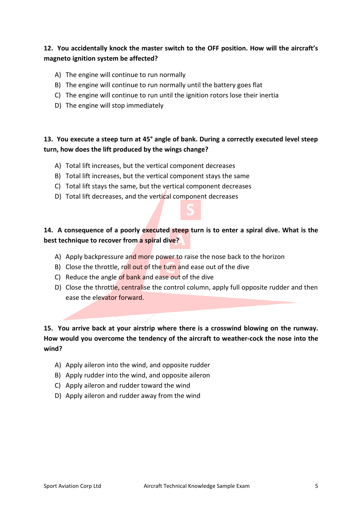#### **12. You accidentally knock the master switch to the OFF position. How will the aircraft's magneto ignition system be affected?**

- A) The engine will continue to run normally
- B) The engine will continue to run normally until the battery goes flat
- C) The engine will continue to run until the ignition rotors lose their inertia
- D) The engine will stop immediately

#### **13. You execute a steep turn at 45° angle of bank. During a correctly executed level steep turn, how does the lift produced by the wings change?**

- A) Total lift increases, but the vertical component decreases
- B) Total lift increases, but the vertical component stays the same
- C) Total lift stays the same, but the vertical component decreases
- D) Total lift decreases, and the vertical component decreases

#### **14. A consequence of a poorly executed steep turn is to enter a spiral dive. What is the best technique to recover from a spiral dive?**

- A) Apply backpressure and more power to raise the nose back to the horizon
- B) Close the throttle, roll out of the turn and ease out of the dive
- C) Reduce the angle of bank and ease out of the dive
- D) Close the throttle, centralise the control column, apply full opposite rudder and then ease the elevator forward.

### **15. You arrive back at your airstrip where there is a crosswind blowing on the runway. How would you overcome the tendency of the aircraft to weather-cock the nose into the wind?**

- A) Apply aileron into the wind, and opposite rudder
- B) Apply rudder into the wind, and opposite aileron
- C) Apply aileron and rudder toward the wind
- D) Apply aileron and rudder away from the wind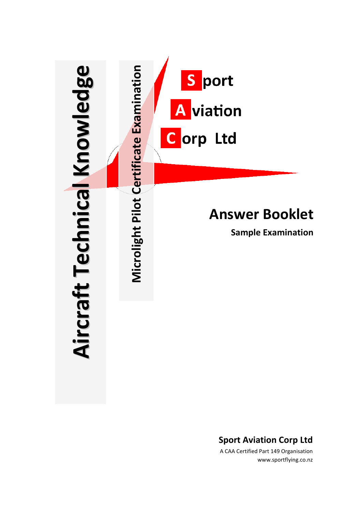

**Sport Aviation Corp Ltd**

A CAA Certified Part 149 Organisation www.sportflying.co.nz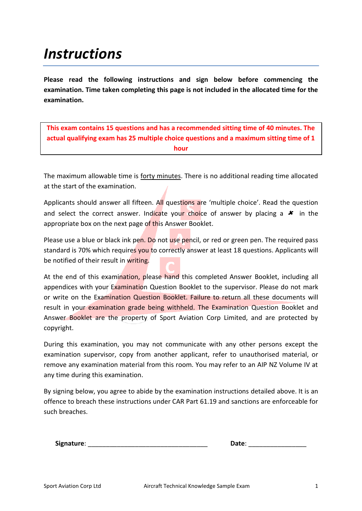# *Instructions*

**Please read the following instructions and sign below before commencing the examination. Time taken completing this page is not included in the allocated time for the examination.**

**This exam contains 15 questions and has a recommended sitting time of 40 minutes. The actual qualifying exam has 25 multiple choice questions and a maximum sitting time of 1 hour**

The maximum allowable time is forty minutes. There is no additional reading time allocated at the start of the examination.

Applicants should answer all fifteen. All questions are 'multiple choice'. Read the question and select the correct answer. Indicate your choice of answer by placing a  $\star$  in the appropriate box on the next page of this Answer Booklet.

Please use a blue or black ink pen. Do not use pencil, or red or green pen. The required pass standard is 70% which requires you to correctly answer at least 18 questions. Applicants will be notified of their result in writing.

At the end of this examination, please hand this completed Answer Booklet, including all appendices with your Examination Question Booklet to the supervisor. Please do not mark or write on the Examination Question Booklet. Failure to return all these documents will result in your examination grade being withheld. The Examination Question Booklet and Answer Booklet are the property of Sport Aviation Corp Limited, and are protected by copyright.

During this examination, you may not communicate with any other persons except the examination supervisor, copy from another applicant, refer to unauthorised material, or remove any examination material from this room. You may refer to an AIP NZ Volume IV at any time during this examination.

By signing below, you agree to abide by the examination instructions detailed above. It is an offence to breach these instructions under CAR Part 61.19 and sanctions are enforceable for such breaches.

| Signature: | Date: |  |
|------------|-------|--|
|            |       |  |